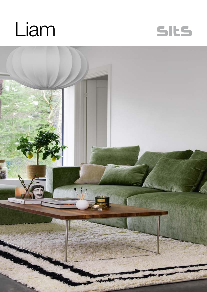



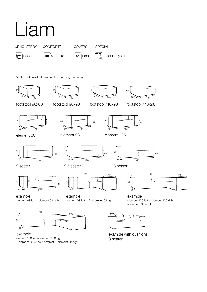

All elements available also as freestanding elements.



element 126 left + element 126 right + element 93 without armrest + element 93 right example

example with cushions 3 seater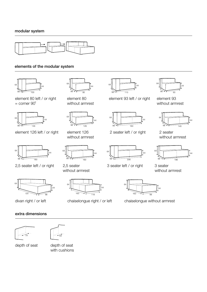

## elements of the modular system



 

element 80 left / or right = corner 90˚



element 126 left / or right



2,5 seater left / or right



divan right / or left

## extra dimensions





depth of seat

depth of seat with cushions



element 80 without armrest



element 126 without armrest



2,5 seater without armrest



chaiselongue right / or left



element 93 left / or right

element 93 without armrest



2 seater without armrest



3 seater without armrest



chaiselongue without armrest

2 seater left / or right

 

3 seater left / or right